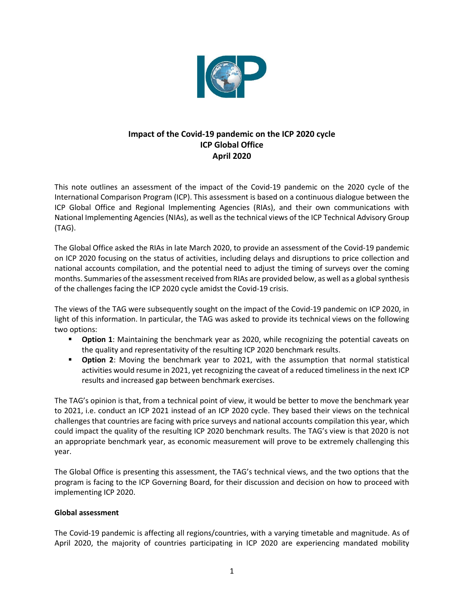

# **Impact of the Covid-19 pandemic on the ICP 2020 cycle ICP Global Office April 2020**

This note outlines an assessment of the impact of the Covid-19 pandemic on the 2020 cycle of the International Comparison Program (ICP). This assessment is based on a continuous dialogue between the ICP Global Office and Regional Implementing Agencies (RIAs), and their own communications with National Implementing Agencies (NIAs), as well as the technical views of the ICP Technical Advisory Group (TAG).

The Global Office asked the RIAs in late March 2020, to provide an assessment of the Covid-19 pandemic on ICP 2020 focusing on the status of activities, including delays and disruptions to price collection and national accounts compilation, and the potential need to adjust the timing of surveys over the coming months. Summaries of the assessment received from RIAs are provided below, as well as a global synthesis of the challenges facing the ICP 2020 cycle amidst the Covid-19 crisis.

The views of the TAG were subsequently sought on the impact of the Covid-19 pandemic on ICP 2020, in light of this information. In particular, the TAG was asked to provide its technical views on the following two options:

- **Option 1**: Maintaining the benchmark year as 2020, while recognizing the potential caveats on the quality and representativity of the resulting ICP 2020 benchmark results.
- **Option 2**: Moving the benchmark year to 2021, with the assumption that normal statistical activities would resume in 2021, yet recognizing the caveat of a reduced timeliness in the next ICP results and increased gap between benchmark exercises.

The TAG's opinion is that, from a technical point of view, it would be better to move the benchmark year to 2021, i.e. conduct an ICP 2021 instead of an ICP 2020 cycle. They based their views on the technical challenges that countries are facing with price surveys and national accounts compilation this year, which could impact the quality of the resulting ICP 2020 benchmark results. The TAG's view is that 2020 is not an appropriate benchmark year, as economic measurement will prove to be extremely challenging this year.

The Global Office is presenting this assessment, the TAG's technical views, and the two options that the program is facing to the ICP Governing Board, for their discussion and decision on how to proceed with implementing ICP 2020.

# **Global assessment**

The Covid-19 pandemic is affecting all regions/countries, with a varying timetable and magnitude. As of April 2020, the majority of countries participating in ICP 2020 are experiencing mandated mobility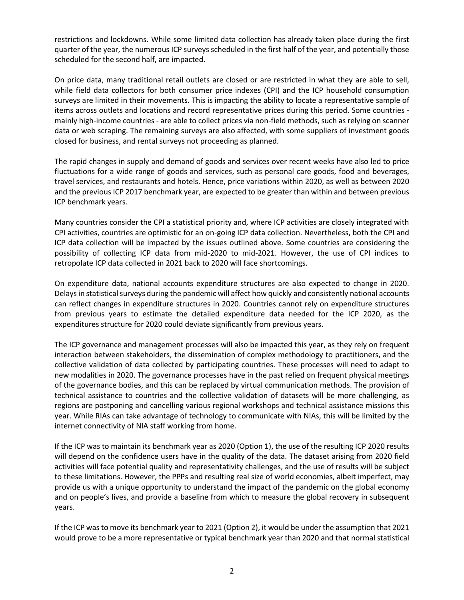restrictions and lockdowns. While some limited data collection has already taken place during the first quarter of the year, the numerous ICP surveys scheduled in the first half of the year, and potentially those scheduled for the second half, are impacted.

On price data, many traditional retail outlets are closed or are restricted in what they are able to sell, while field data collectors for both consumer price indexes (CPI) and the ICP household consumption surveys are limited in their movements. This is impacting the ability to locate a representative sample of items across outlets and locations and record representative prices during this period. Some countries mainly high-income countries - are able to collect prices via non-field methods, such as relying on scanner data or web scraping. The remaining surveys are also affected, with some suppliers of investment goods closed for business, and rental surveys not proceeding as planned.

The rapid changes in supply and demand of goods and services over recent weeks have also led to price fluctuations for a wide range of goods and services, such as personal care goods, food and beverages, travel services, and restaurants and hotels. Hence, price variations within 2020, as well as between 2020 and the previous ICP 2017 benchmark year, are expected to be greater than within and between previous ICP benchmark years.

Many countries consider the CPI a statistical priority and, where ICP activities are closely integrated with CPI activities, countries are optimistic for an on-going ICP data collection. Nevertheless, both the CPI and ICP data collection will be impacted by the issues outlined above. Some countries are considering the possibility of collecting ICP data from mid-2020 to mid-2021. However, the use of CPI indices to retropolate ICP data collected in 2021 back to 2020 will face shortcomings.

On expenditure data, national accounts expenditure structures are also expected to change in 2020. Delays in statistical surveys during the pandemic will affect how quickly and consistently national accounts can reflect changes in expenditure structures in 2020. Countries cannot rely on expenditure structures from previous years to estimate the detailed expenditure data needed for the ICP 2020, as the expenditures structure for 2020 could deviate significantly from previous years.

The ICP governance and management processes will also be impacted this year, as they rely on frequent interaction between stakeholders, the dissemination of complex methodology to practitioners, and the collective validation of data collected by participating countries. These processes will need to adapt to new modalities in 2020. The governance processes have in the past relied on frequent physical meetings of the governance bodies, and this can be replaced by virtual communication methods. The provision of technical assistance to countries and the collective validation of datasets will be more challenging, as regions are postponing and cancelling various regional workshops and technical assistance missions this year. While RIAs can take advantage of technology to communicate with NIAs, this will be limited by the internet connectivity of NIA staff working from home.

If the ICP was to maintain its benchmark year as 2020 (Option 1), the use of the resulting ICP 2020 results will depend on the confidence users have in the quality of the data. The dataset arising from 2020 field activities will face potential quality and representativity challenges, and the use of results will be subject to these limitations. However, the PPPs and resulting real size of world economies, albeit imperfect, may provide us with a unique opportunity to understand the impact of the pandemic on the global economy and on people's lives, and provide a baseline from which to measure the global recovery in subsequent years.

If the ICP was to move its benchmark year to 2021 (Option 2), it would be under the assumption that 2021 would prove to be a more representative or typical benchmark year than 2020 and that normal statistical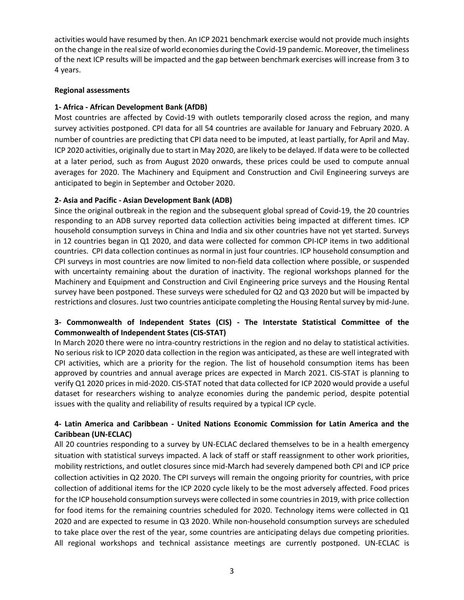activities would have resumed by then. An ICP 2021 benchmark exercise would not provide much insights on the change in the real size of world economies during the Covid-19 pandemic. Moreover, the timeliness of the next ICP results will be impacted and the gap between benchmark exercises will increase from 3 to 4 years.

#### **Regional assessments**

### **1- Africa - African Development Bank (AfDB)**

Most countries are affected by Covid-19 with outlets temporarily closed across the region, and many survey activities postponed. CPI data for all 54 countries are available for January and February 2020. A number of countries are predicting that CPI data need to be imputed, at least partially, for April and May. ICP 2020 activities, originally due to start in May 2020, are likely to be delayed. If data were to be collected at a later period, such as from August 2020 onwards, these prices could be used to compute annual averages for 2020. The Machinery and Equipment and Construction and Civil Engineering surveys are anticipated to begin in September and October 2020.

### **2- Asia and Pacific - Asian Development Bank (ADB)**

Since the original outbreak in the region and the subsequent global spread of Covid-19, the 20 countries responding to an ADB survey reported data collection activities being impacted at different times. ICP household consumption surveys in China and India and six other countries have not yet started. Surveys in 12 countries began in Q1 2020, and data were collected for common CPI-ICP items in two additional countries. CPI data collection continues as normal in just four countries. ICP household consumption and CPI surveys in most countries are now limited to non-field data collection where possible, or suspended with uncertainty remaining about the duration of inactivity. The regional workshops planned for the Machinery and Equipment and Construction and Civil Engineering price surveys and the Housing Rental survey have been postponed. These surveys were scheduled for Q2 and Q3 2020 but will be impacted by restrictions and closures. Just two countries anticipate completing the Housing Rental survey by mid-June.

# **3- Commonwealth of Independent States (CIS) - The Interstate Statistical Committee of the Commonwealth of Independent States (CIS-STAT)**

In March 2020 there were no intra-country restrictions in the region and no delay to statistical activities. No serious risk to ICP 2020 data collection in the region was anticipated, as these are well integrated with CPI activities, which are a priority for the region. The list of household consumption items has been approved by countries and annual average prices are expected in March 2021. CIS-STAT is planning to verify Q1 2020 prices in mid-2020. CIS-STAT noted that data collected for ICP 2020 would provide a useful dataset for researchers wishing to analyze economies during the pandemic period, despite potential issues with the quality and reliability of results required by a typical ICP cycle.

# **4- Latin America and Caribbean - United Nations Economic Commission for Latin America and the Caribbean (UN-ECLAC)**

All 20 countries responding to a survey by UN-ECLAC declared themselves to be in a health emergency situation with statistical surveys impacted. A lack of staff or staff reassignment to other work priorities, mobility restrictions, and outlet closures since mid-March had severely dampened both CPI and ICP price collection activities in Q2 2020. The CPI surveys will remain the ongoing priority for countries, with price collection of additional items for the ICP 2020 cycle likely to be the most adversely affected. Food prices for the ICP household consumption surveys were collected in some countries in 2019, with price collection for food items for the remaining countries scheduled for 2020. Technology items were collected in Q1 2020 and are expected to resume in Q3 2020. While non-household consumption surveys are scheduled to take place over the rest of the year, some countries are anticipating delays due competing priorities. All regional workshops and technical assistance meetings are currently postponed. UN-ECLAC is